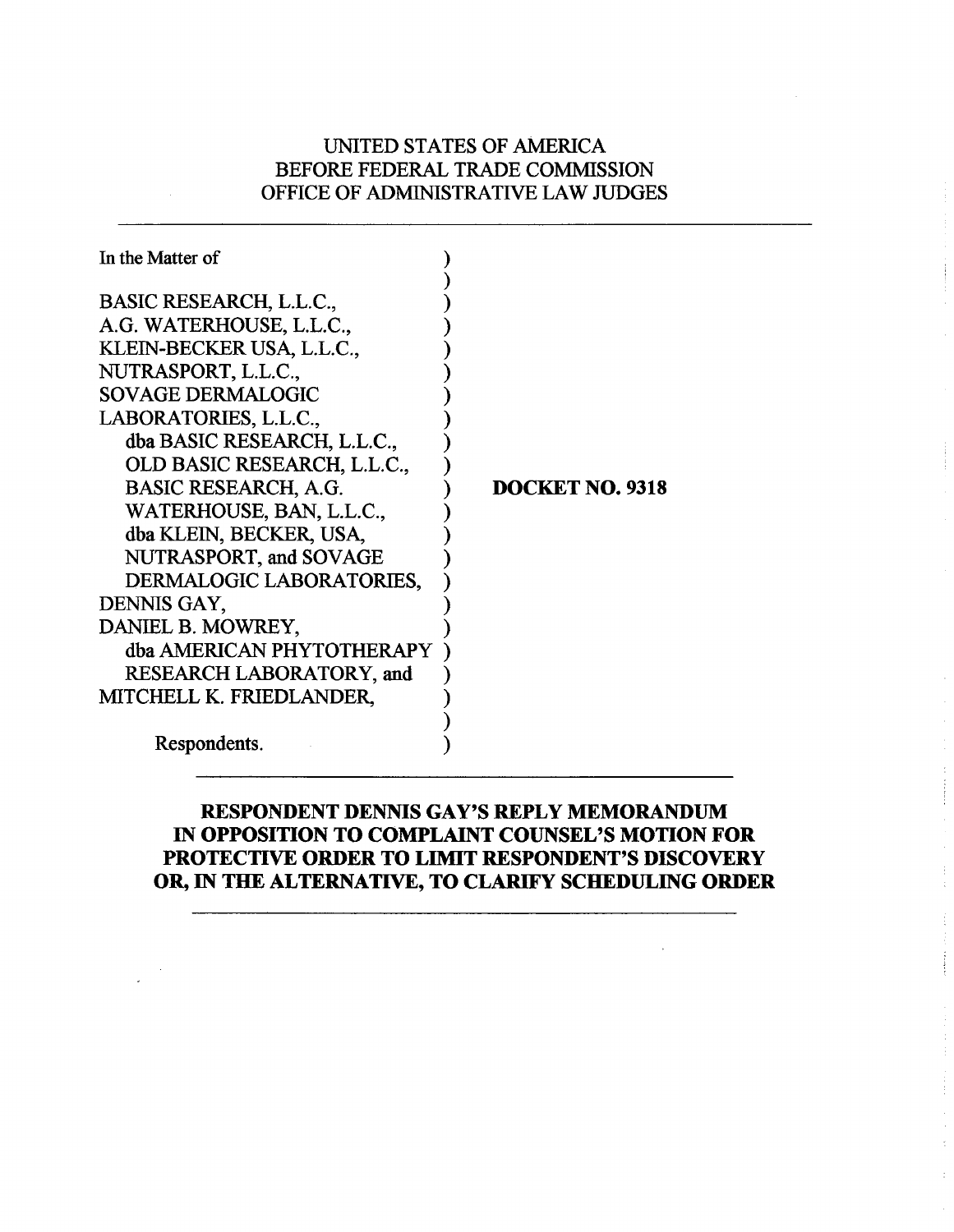# UNITED STATES OF AMERICA BEFORE FEDERAL TRADE COMMISSION OFFICE OF ADMINISTRATIVE LAW JUDGES

| In the Matter of                |                        |
|---------------------------------|------------------------|
| BASIC RESEARCH, L.L.C.,         |                        |
| A.G. WATERHOUSE, L.L.C.,        |                        |
|                                 |                        |
| KLEIN-BECKER USA, L.L.C.,       |                        |
| NUTRASPORT, L.L.C.,             |                        |
| <b>SOVAGE DERMALOGIC</b>        |                        |
| LABORATORIES, L.L.C.,           |                        |
| dba BASIC RESEARCH, L.L.C.,     |                        |
| OLD BASIC RESEARCH, L.L.C.,     |                        |
| <b>BASIC RESEARCH, A.G.</b>     | <b>DOCKET NO. 9318</b> |
| WATERHOUSE, BAN, L.L.C.,        |                        |
| dba KLEIN, BECKER, USA,         |                        |
| NUTRASPORT, and SOVAGE          |                        |
| DERMALOGIC LABORATORIES,        |                        |
| DENNIS GAY,                     |                        |
| DANIEL B. MOWREY,               |                        |
| dba AMERICAN PHYTOTHERAPY       |                        |
| <b>RESEARCH LABORATORY, and</b> |                        |
| MITCHELL K. FRIEDLANDER,        |                        |
|                                 |                        |
| Respondents.                    |                        |

# **RESPONDENT DENNIS GAY'S REPLY MEMORANDUM IN OPPOSITION TO COMPLAINT COUNSEL'S MOTION FOR PROTECTIVE ORDER TO LIMIT RESPONDENT'S DISCOVERY OR, IN THE ALTERNATIVE, TO CLARIFY SCHEDULING ORDER**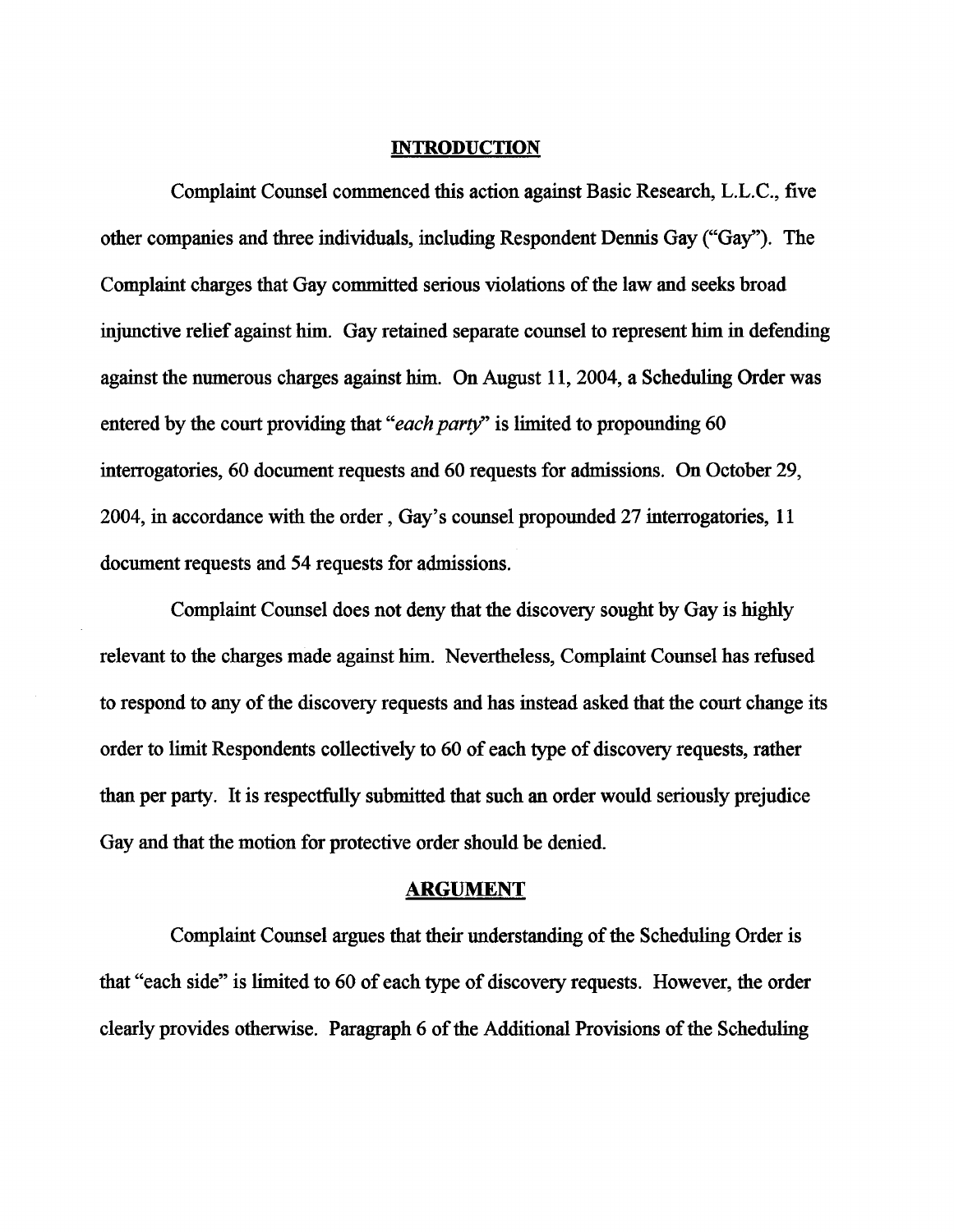#### **INTRODUCTION**

Complaint Counsel commenced this action against Basic Research, L.L.C., five other companies and three individuals, including Respondent Dennis Gay ("Gay"). The Complaint charges that Gay committed serious violations of the law and seeks broad injunctive relief against him. Gay retained separate counsel to represent him in defending against the numerous charges against him. On August 11,2004, a Scheduling Order was entered by the court providing that "*each party*" is limited to propounding 60 interrogatories, 60 document requests and 60 requests for admissions. On October 29, 2004, in accordance with the order, Gay's counsel propounded 27 interrogatories, 11 document requests and 54 requests for admissions.

Complaint Counsel does not deny that the discovery sought by Gay is highly relevant to the charges made against him. Nevertheless, Complaint Counsel has refused to respond to any of the discovery requests and has instead asked that the court change its order to limit Respondents collectively to 60 of each type of discovery requests, rather than per party. It is respectfully submitted that such an order would seriously prejudice Gay and that the motion for protective order should be denied.

#### **ARGUMENT**

Complaint Counsel argues that their understanding of the Scheduling Order is that "each side" is limited to 60 of each type of discovery requests. However, the order clearly provides otherwise. Paragraph 6 of the Additional Provisions of the Scheduling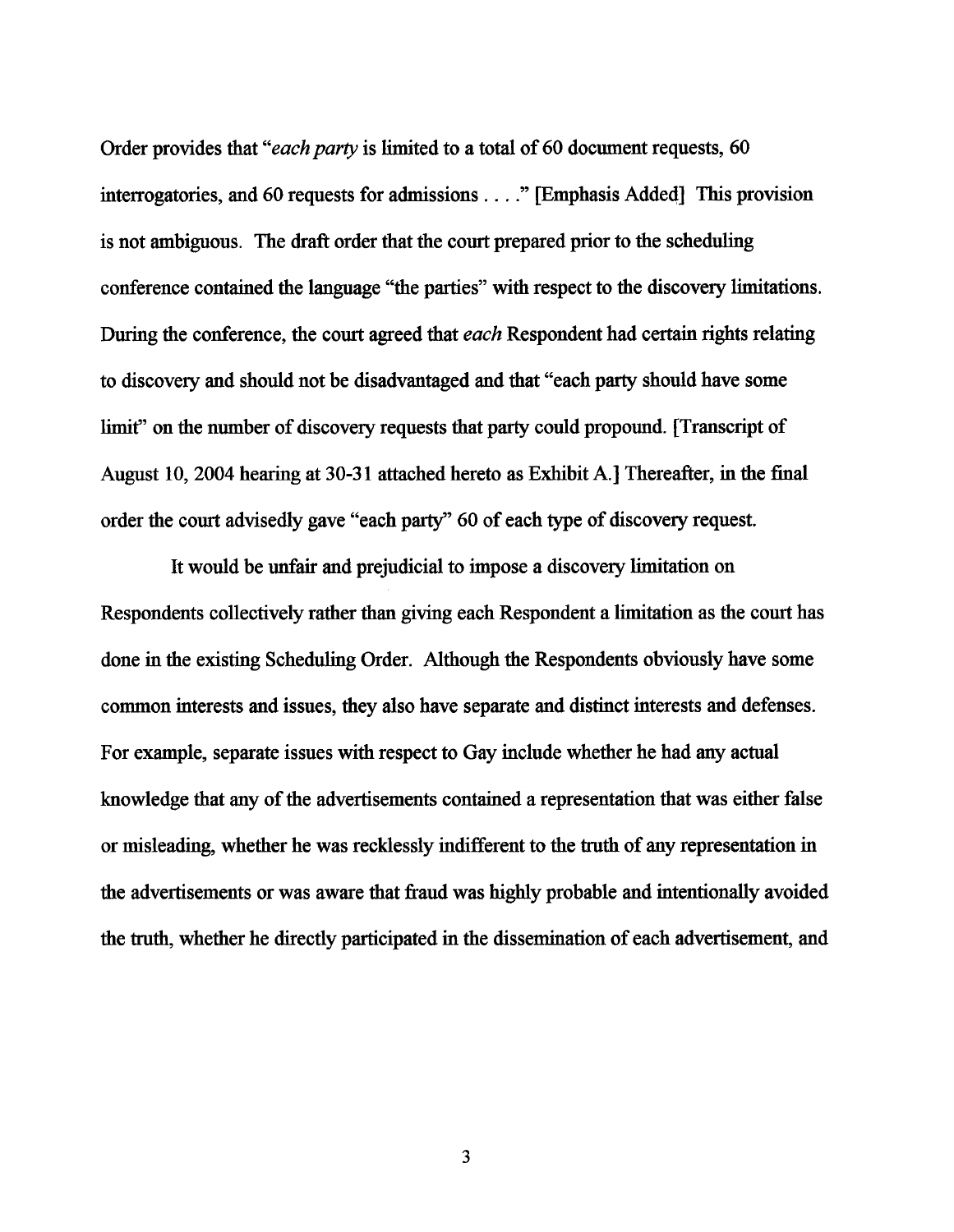Order provides that "*each party* is limited to a total of 60 document requests, 60 interrogatories, and **60** requests for admissions . . . ." [Emphasis Added] This provision is not ambiguous. The draft order that the court prepared prior to the scheduling conference contained the language "the parties" with respect to the discovery limitations. During the conference, the court agreed that *each* Respondent had certain rights relating to discovery and should not be disadvantaged and that "each party should have some limit" on the number of discovery requests that party could propound. [Transcript of August **10, 2004** hearing at **30-3** 1 attached hereto as Exhibit A.] Thereafter, in the final order the court advisedly gave "each party" **60** of each type of discovery request.

It would be unfair and prejudicial to impose a discovery limitation on Respondents collectively rather than giving each Respondent a limitation as the court has done in the existing Scheduling Order. Although the Respondents obviously have some common interests and issues, they also have separate and distinct interests and defenses. For example, separate issues with respect to Gay include whether he had any actual knowledge that any of the advertisements contained a representation that was either false or misleading, whether he was recklessly indifferent to the truth of any representation in the advertisements or was aware that fiaud was highly probable and intentionally avoided the truth, whether he directly participated in the dissemination of each advertisement, and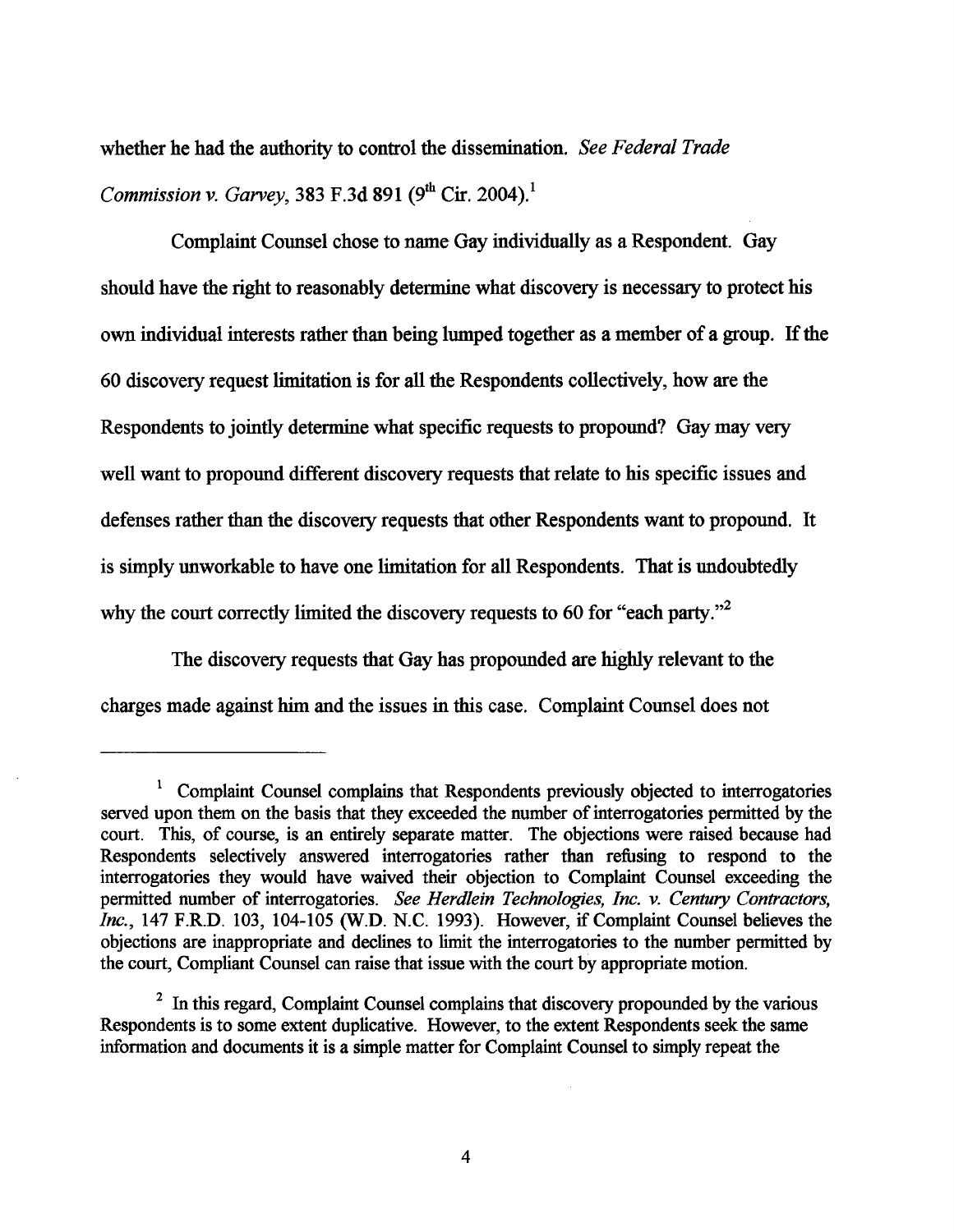whether he had the authority to control the dissemination. See Federal Trade *Commission v. Garvey,* 383 F.3d 891  $(9^{th}$  Cir. 2004).<sup>1</sup>

Complaint Counsel chose to name Gay individually as a Respondent. Gay should have the right to reasonably determine what discovery is necessary to protect his own individual interests rather than being lumped together as a member of a group. If the **60** discovery request limitation is for all the Respondents collectively, how are the Respondents to jointly determine what specific requests to propound? Gay may very well want to propound different discovery requests that relate to his specific issues and defenses rather than the discovery requests that other Respondents want to propound. It is simply unworkable to have one limitation for all Respondents. That is undoubtedly why the court correctly limited the discovery requests to 60 for "each party."<sup>2</sup>

The discovery requests that Gay has propounded are highly relevant to the charges made against him and the issues in this case. Complaint Counsel does not

<sup>&</sup>lt;sup>1</sup> Complaint Counsel complains that Respondents previously objected to interrogatories served upon them on the basis that they exceeded the number of interrogatories permitted by the court. This, of course, is an entirely separate matter. The objections were raised because had Respondents selectively answered interrogatories rather than refising to respond to the interrogatories they would have waived their objection to Complaint Counsel exceeding the permitted number of interrogatories. See Herdlein Technologies, Inc. v. Century Contractors, Inc., 147 F.R.D. 103, 104-105 (W.D. N.C. 1993). However, if Complaint Counsel believes the objections are inappropriate and declines to limit the interrogatories to the number permitted by the court, Compliant Counsel can raise that issue with the court by appropriate motion.

<sup>&</sup>lt;sup>2</sup> In this regard, Complaint Counsel complains that discovery propounded by the various Respondents is to some extent duplicative. However, to the extent Respondents seek the same information and documents it is a simple matter for Complaint Counsel to simply repeat the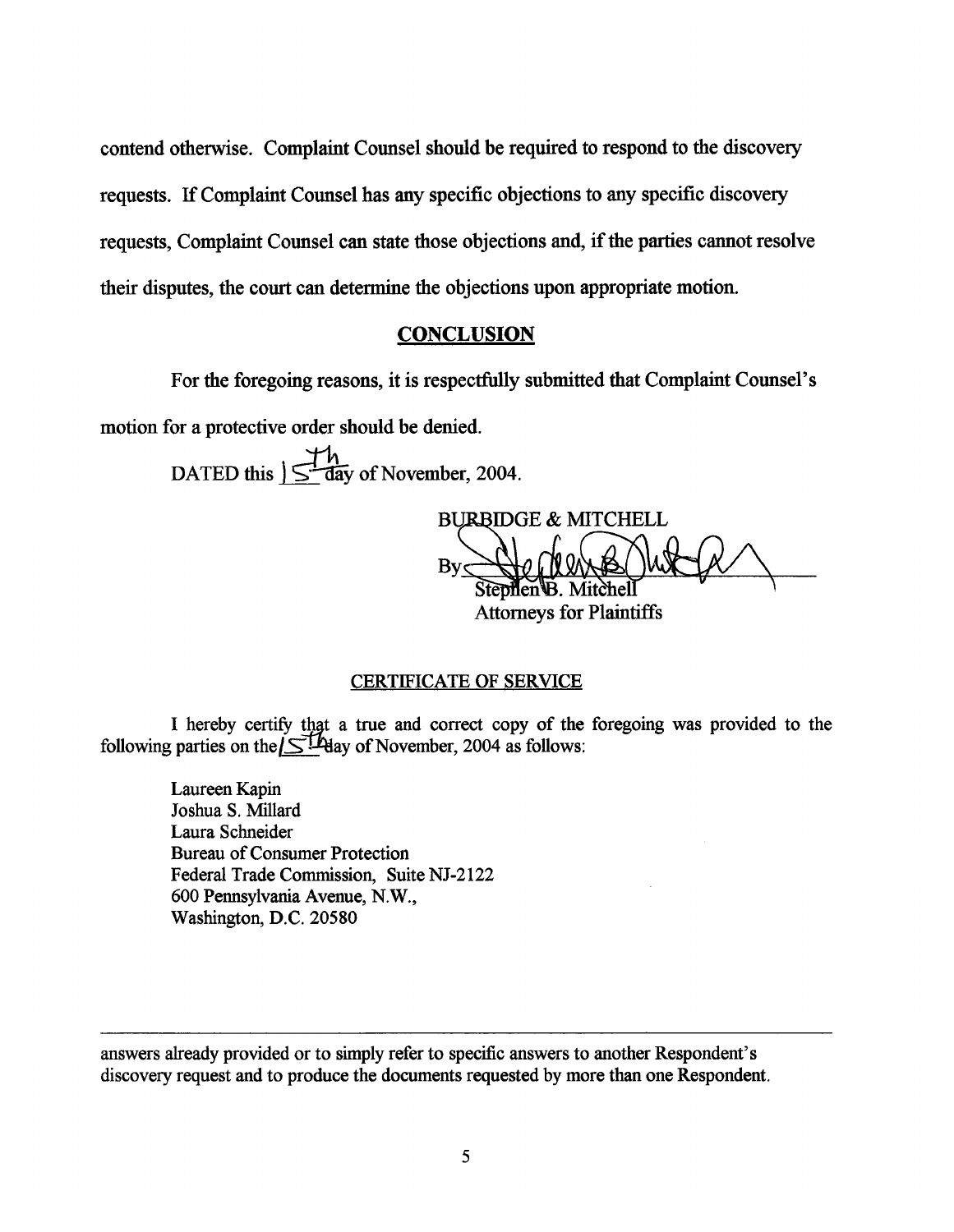contend otherwise. Complaint Counsel should be required to respond to the discovery requests. If Complaint Counsel has *any* specific objections to any specific discovery requests, Complaint Counsel can state those objections and, if the parties cannot resolve their disputes, the court can determine the objections upon appropriate motion.

## **CONCLUSION**

For the foregoing reasons, it is respectfully submitted that Complaint Counsel's

motion for a protective order should be denied.

DATED this  $\sum_{n=1}^{n}$  day of November, 2004.

BURBIDGE & MITCHELL Stephen B. Mitchel Attorneys for Plaintiffs

### CERTIFICATE OF SERVICE

I hereby certify that a true and correct copy of the foregoing was provided to the following parties on the  $\leq$   $\frac{1}{2}$  Hay of November, 2004 as follows:

Laureen Kapin Joshua S. Millard Laura Schneider Bureau of Consumer Protection Federal Trade Commission, Suite NJ-2122 600 Pennsylvania Avenue, N.W., Washington, D.C. 20580

answers already provided or to simply refer to specific answers to another Respondent's discovery request and to produce the documents requested by more than one Respondent.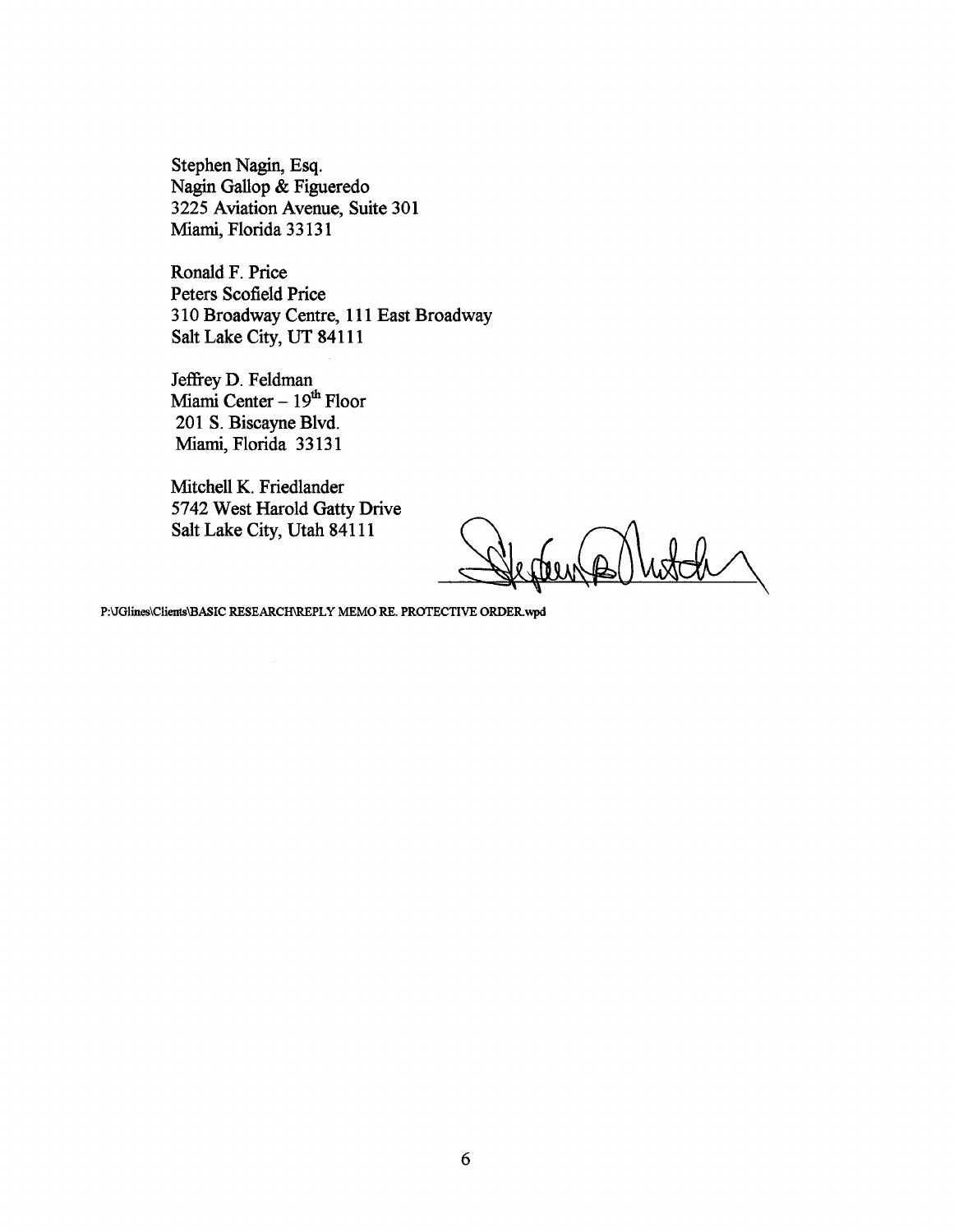**Stephen Nagin, Esq. Nagin Gallop** & **Figueredo 3225 Aviation Avenue, Suite 301**  Miami, **Florida 3 3 13 1** 

**Ronald F. Price Peters Scofield Price 3 10 Broadway Centre, 1 1 1 East Broadway Salt Lake City, UT 841 11** 

Jeffrey D. Feldman<br>Miami Center – 19<sup>th</sup> Floor 201 S. Biscayne Blvd. Miami, **Florida 33131** 

**Mitchell K. Friedlander 5742 West Harold Gatty Drive Salt Lake City, Utah 841 11** 

Comp

P:\JGlines\Clients\BASIC RESEARCH\REPLY MEMO RE. PROTECTIVE ORDER.wpd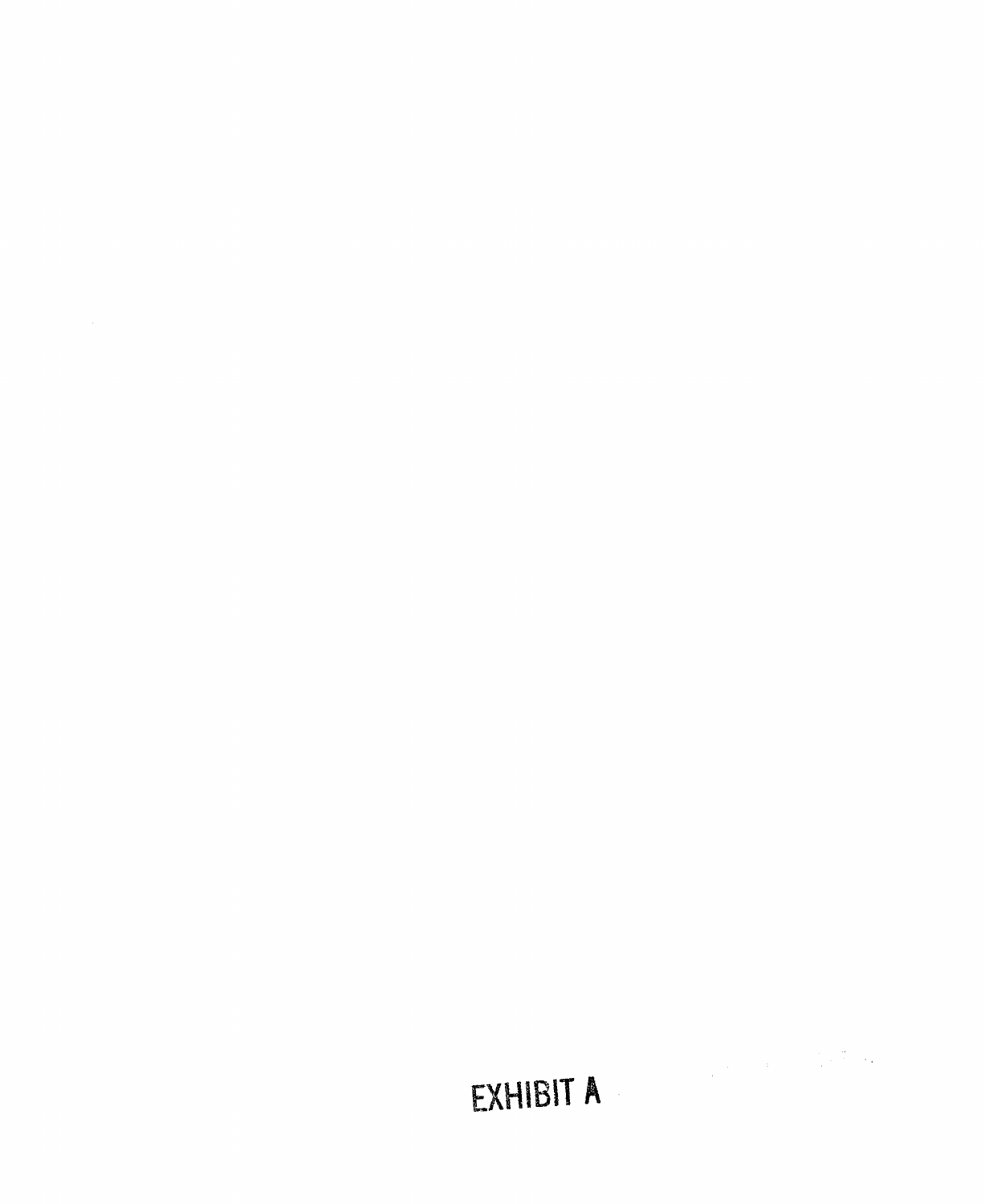# EXHIBIT A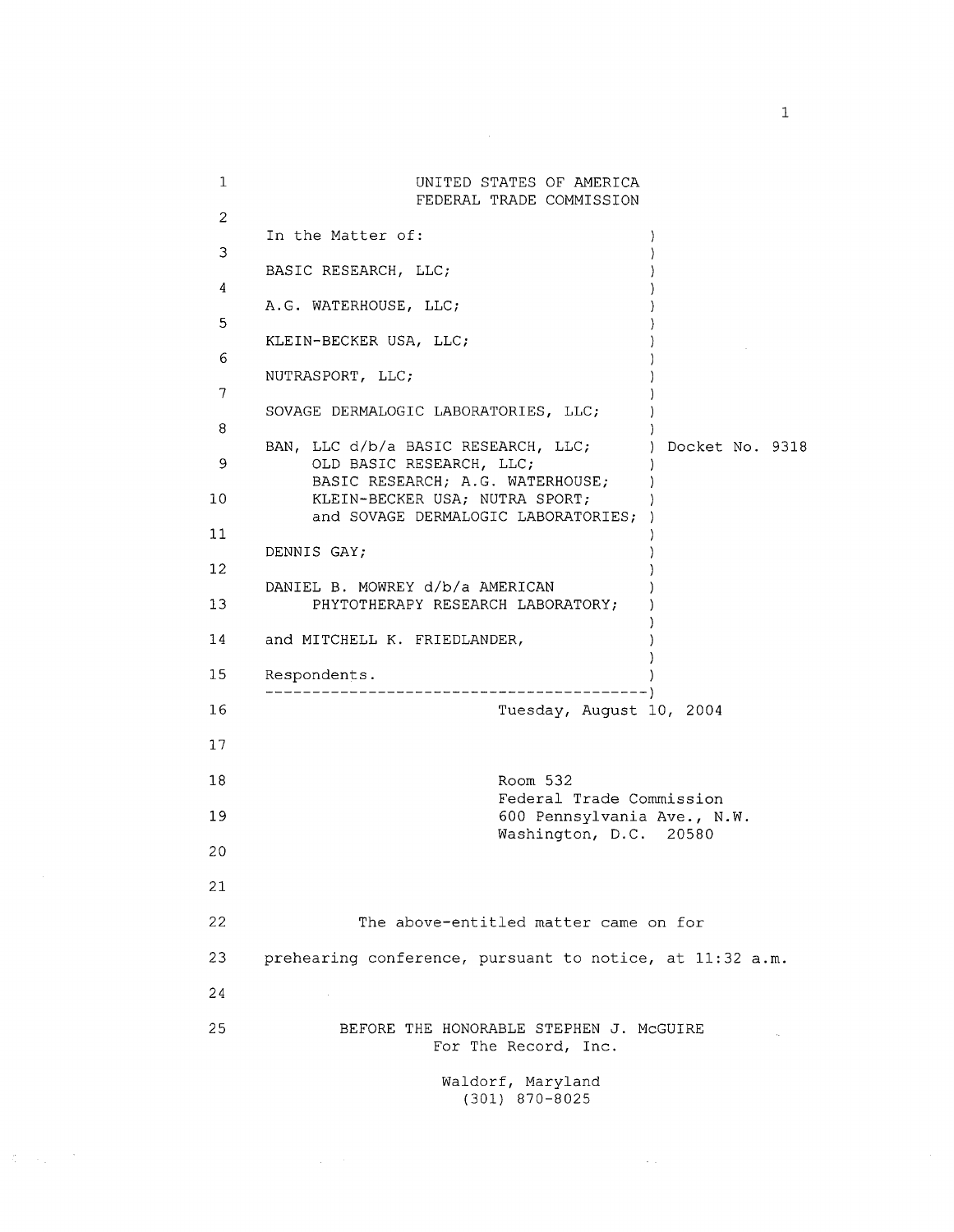| 1              |                                                                                                           | UNITED STATES OF AMERICA<br>FEDERAL TRADE COMMISSION |                   |
|----------------|-----------------------------------------------------------------------------------------------------------|------------------------------------------------------|-------------------|
| $\overline{c}$ |                                                                                                           |                                                      |                   |
| 3              | In the Matter of:                                                                                         |                                                      |                   |
|                | BASIC RESEARCH, LLC;                                                                                      |                                                      |                   |
| 4              | A.G. WATERHOUSE, LLC;                                                                                     |                                                      |                   |
| 5              | KLEIN-BECKER USA, LLC;                                                                                    |                                                      |                   |
| 6              | NUTRASPORT, LLC;                                                                                          |                                                      |                   |
| 7              |                                                                                                           |                                                      |                   |
| 8              | SOVAGE DERMALOGIC LABORATORIES, LLC;                                                                      |                                                      |                   |
| 9              | BAN, LLC d/b/a BASIC RESEARCH, LLC;<br>OLD BASIC RESEARCH, LLC;                                           |                                                      | ) Docket No. 9318 |
| 10             | BASIC RESEARCH; A.G. WATERHOUSE;<br>KLEIN-BECKER USA; NUTRA SPORT;<br>and SOVAGE DERMALOGIC LABORATORIES; |                                                      |                   |
| 11             |                                                                                                           |                                                      |                   |
| 12             | DENNIS GAY;                                                                                               |                                                      |                   |
| 13             | DANIEL B. MOWREY d/b/a AMERICAN<br>PHYTOTHERAPY RESEARCH LABORATORY;                                      |                                                      |                   |
| 14             | and MITCHELL K. FRIEDLANDER,                                                                              |                                                      |                   |
| 15             | Respondents.                                                                                              |                                                      |                   |
| 16             |                                                                                                           | Tuesday, August 10, 2004                             |                   |
| 17             |                                                                                                           |                                                      |                   |
| 18             |                                                                                                           | Room 532                                             |                   |
| 19             | Federal Trade Commission<br>600 Pennsylvania Ave., N.W.                                                   |                                                      |                   |
| 20             |                                                                                                           | Washington, D.C. 20580                               |                   |
| 21             |                                                                                                           |                                                      |                   |
| 22             | The above-entitled matter came on for                                                                     |                                                      |                   |
| 23             | prehearing conference, pursuant to notice, at 11:32 a.m.                                                  |                                                      |                   |
| 24             | $\sim$                                                                                                    |                                                      |                   |
| 25             | BEFORE THE HONORABLE STEPHEN J. MCGUIRE<br>For The Record, Inc.                                           |                                                      |                   |

Waldorf, Maryland (301) 870-8025

 $\sim 10^{11}$ 

 $\mathcal{R}^{\text{max}}_{\text{max}}$ 

 $\,$  1  $\,$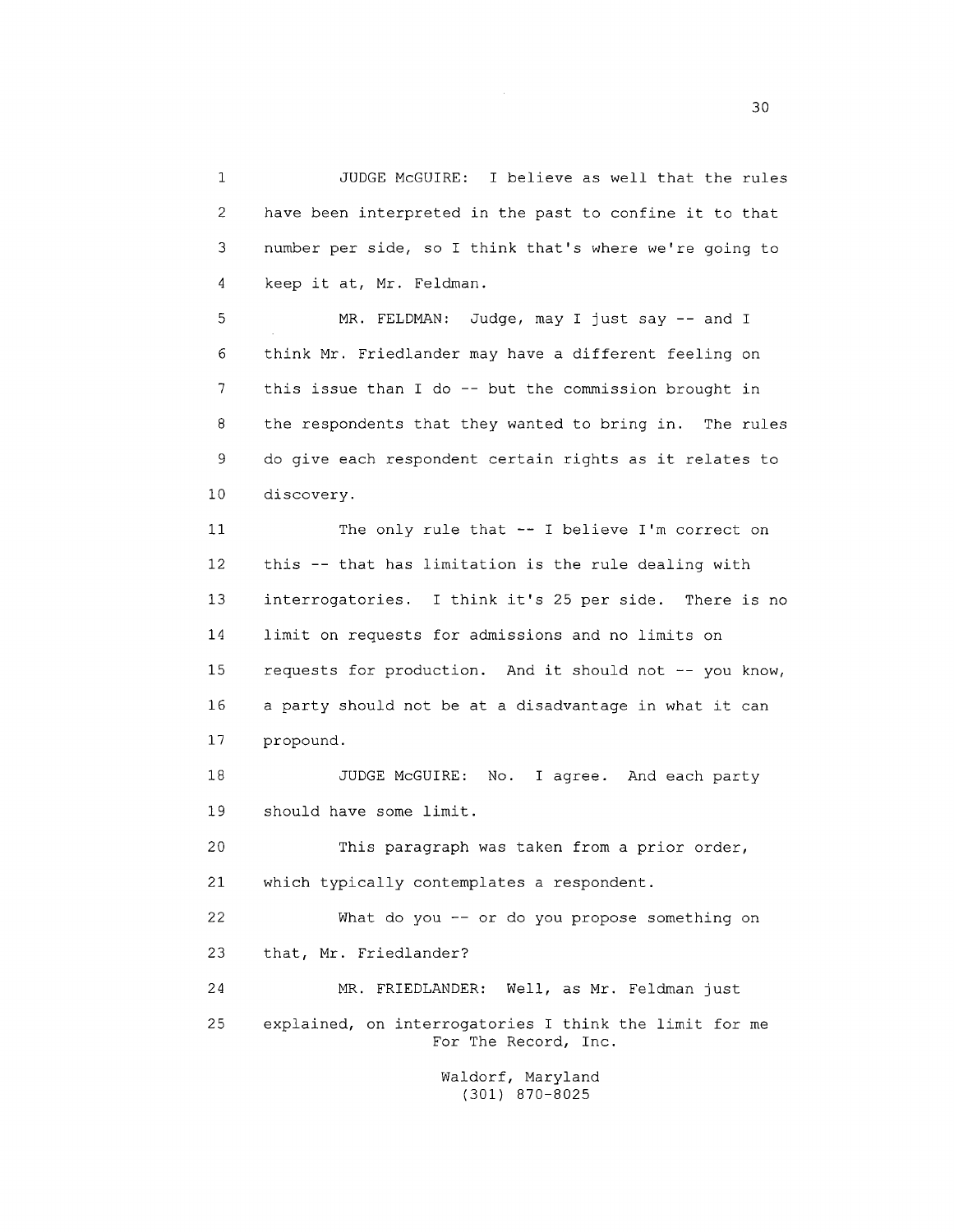$\mathbf 1$ JUDGE McGUIRE: I believe as well that the rules  $\overline{2}$ have been interpreted in the past to confine it to that 3 number per side, so I think that's where we're going to keep it at, Mr. Feldman.  $\overline{4}$ 

5 MR. FELDMAN: Judge, may I just say -- and I think Mr. Friedlander may have a different feeling on 6  $\overline{7}$ this issue than I do -- but the commission brought in 8 the respondents that they wanted to bring in. The rules 9 do give each respondent certain rights as it relates to  $10$ discovery.

The only rule that -- I believe I'm correct on  $11$ this -- that has limitation is the rule dealing with  $12$ 13 interrogatories. I think it's 25 per side. There is no 14 limit on requests for admissions and no limits on requests for production. And it should not -- you know, 15 a party should not be at a disadvantage in what it can 16  $17$ propound.

18 JUDGE McGUIRE: No. I agree. And each party should have some limit. 19

20 This paragraph was taken from a prior order, 21 which typically contemplates a respondent.

22 What do you -- or do you propose something on that, Mr. Friedlander? 23 24 MR. FRIEDLANDER: Well, as Mr. Feldman just

25 explained, on interrogatories I think the limit for me For The Record, Inc.

> Waldorf, Maryland (301) 870-8025